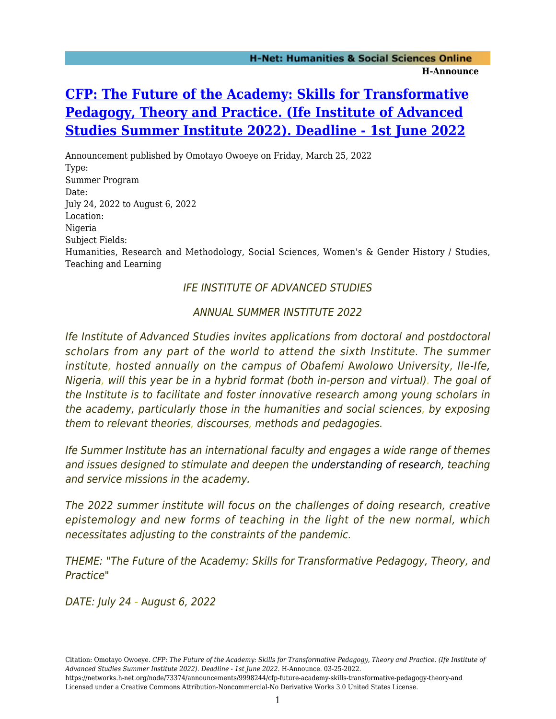# **[CFP: The Future of the Academy: Skills for Transformative](https://networks.h-net.org/node/73374/announcements/9998244/cfp-future-academy-skills-transformative-pedagogy-theory-and) [Pedagogy, Theory and Practice. \(Ife Institute of Advanced](https://networks.h-net.org/node/73374/announcements/9998244/cfp-future-academy-skills-transformative-pedagogy-theory-and) [Studies Summer Institute 2022\). Deadline - 1st June 2022](https://networks.h-net.org/node/73374/announcements/9998244/cfp-future-academy-skills-transformative-pedagogy-theory-and)**

Announcement published by Omotayo Owoeye on Friday, March 25, 2022 Type: Summer Program Date: July 24, 2022 to August 6, 2022 Location: Nigeria Subject Fields: Humanities, Research and Methodology, Social Sciences, Women's & Gender History / Studies, Teaching and Learning

# IFE INSTITUTE OF ADVANCED STUDIES

# ANNUAL SUMMER INSTITUTE 2022

Ife Institute of Advanced Studies invites applications from doctoral and postdoctoral scholars from any part of the world to attend the sixth Institute. The summer institute, hosted annually on the campus of Obafemi Awolowo University, Ile-Ife, Nigeria, will this year be in a hybrid format (both in-person and virtual). The goal of the Institute is to facilitate and foster innovative research among young scholars in the academy, particularly those in the humanities and social sciences, by exposing them to relevant theories, discourses, methods and pedagogies.

Ife Summer Institute has an international faculty and engages a wide range of themes and issues designed to stimulate and deepen the understanding of research, teaching and service missions in the academy.

The 2022 summer institute will focus on the challenges of doing research, creative epistemology and new forms of teaching in the light of the new normal, which necessitates adjusting to the constraints of the pandemic.

THEME: "The Future of the Academy: Skills for Transformative Pedagogy, Theory, and Practice"

DATE: July 24 - August 6, 2022

https://networks.h-net.org/node/73374/announcements/9998244/cfp-future-academy-skills-transformative-pedagogy-theory-and Licensed under a Creative Commons Attribution-Noncommercial-No Derivative Works 3.0 United States License.

Citation: Omotayo Owoeye. *CFP: The Future of the Academy: Skills for Transformative Pedagogy, Theory and Practice. (Ife Institute of Advanced Studies Summer Institute 2022). Deadline - 1st June 2022*. H-Announce. 03-25-2022.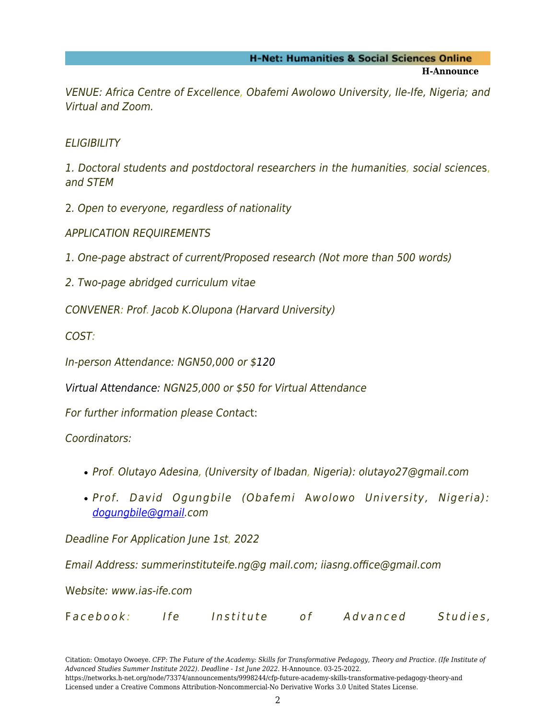VENUE: Africa Centre of Excellence, Obafemi Awolowo University, Ile-Ife, Nigeria; and Virtual and Zoom.

**ELIGIBILITY** 

1. Doctoral students and postdoctoral researchers in the humanities, social sciences, and STEM

2. Open to everyone, regardless of nationality

APPLICATION REQUIREMENTS

1. One-page abstract of current/Proposed research (Not more than 500 words)

2. Two-page abridged curriculum vitae

CONVENER: Prof. Jacob K.Olupona (Harvard University)

COST:

In-person Attendance: NGN50,000 or \$120

Virtual Attendance: NGN25,000 or \$50 for Virtual Attendance

For further information please Contact:

Coordinators:

- Prof. Olutayo Adesina, (University of Ibadan, Nigeria): olutayo27@gmail.com
- Prof. David Ogungbile (Obafemi Awolowo University, Nigeria): [dogungbile@gmail](#page--1-0).com

Deadline For Application June 1st, 2022

Email Address: summerinstituteife.ng@g mail.com; iiasng.office@gmail.com

Website: www.ias-ife.com

|  | Facebook: |  | Institute |  | Advanced | Studies, |
|--|-----------|--|-----------|--|----------|----------|
|--|-----------|--|-----------|--|----------|----------|